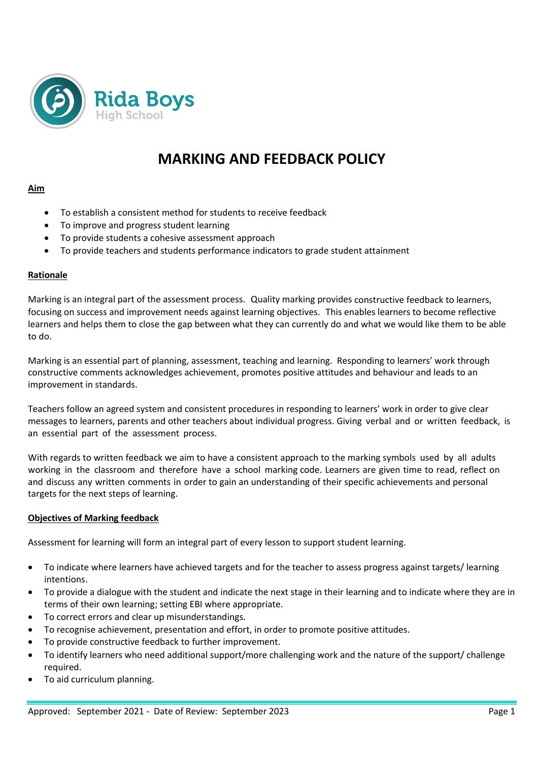

# **MARKING AND FEEDBACK POLICY**

## **Aim**

- To establish a consistent method for students to receive feedback
- To improve and progress student learning
- To provide students a cohesive assessment approach
- To provide teachers and students performance indicators to grade student attainment

## **Rationale**

Marking is an integral part of the assessment process. Quality marking provides constructive feedback to learners, focusing on success and improvement needs against learning objectives. This enables learners to become reflective learners and helps them to close the gap between what they can currently do and what we would like them to be able to do.

Marking is an essential part of planning, assessment, teaching and learning. Responding to learners' work through constructive comments acknowledges achievement, promotes positive attitudes and behaviour and leads to an improvement in standards.

Teachers follow an agreed system and consistent procedures in responding to learners' work in order to give clear messages to learners, parents and other teachers about individual progress. Giving verbal and or written feedback, is an essential part of the assessment process.

With regards to written feedback we aim to have a consistent approach to the marking symbols used by all adults working in the classroom and therefore have a school marking code. Learners are given time to read, reflect on and discuss any written comments in order to gain an understanding of their specific achievements and personal targets for the next steps of learning.

#### **Objectives of Marking feedback**

Assessment for learning will form an integral part of every lesson to support student learning.

- To indicate where learners have achieved targets and for the teacher to assess progress against targets/ learning intentions.
- To provide a dialogue with the student and indicate the next stage in their learning and to indicate where they are in terms of their own learning; setting EBI where appropriate.
- To correct errors and clear up misunderstandings.
- To recognise achievement, presentation and effort, in order to promote positive attitudes.
- To provide constructive feedback to further improvement.
- To identify learners who need additional support/more challenging work and the nature of the support/ challenge required.
- To aid curriculum planning.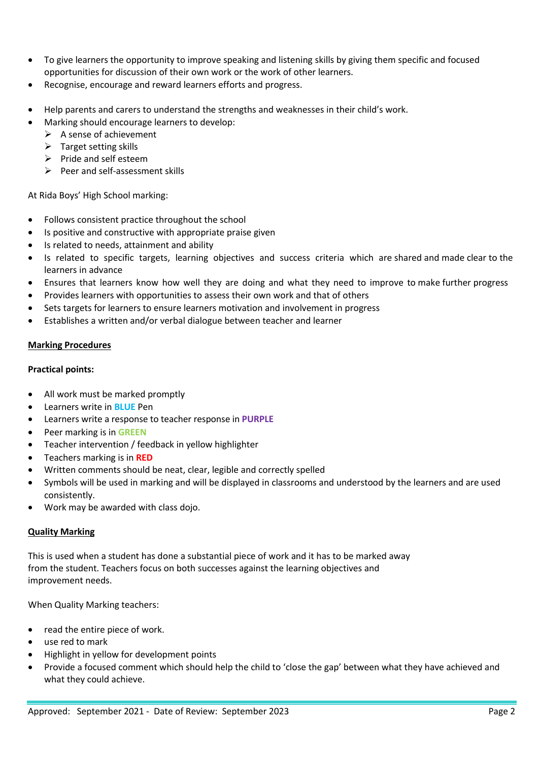- To give learners the opportunity to improve speaking and listening skills by giving them specific and focused opportunities for discussion of their own work or the work of other learners.
- Recognise, encourage and reward learners efforts and progress.
- Help parents and carers to understand the strengths and weaknesses in their child's work.
	- Marking should encourage learners to develop:
		- $\triangleright$  A sense of achievement
		- $\triangleright$  Target setting skills
		- $\triangleright$  Pride and self esteem
		- $\triangleright$  Peer and self-assessment skills

At Rida Boys' High School marking:

- Follows consistent practice throughout the school
- Is positive and constructive with appropriate praise given
- Is related to needs, attainment and ability
- Is related to specific targets, learning objectives and success criteria which are shared and made clear to the learners in advance
- Ensures that learners know how well they are doing and what they need to improve to make further progress
- Provides learners with opportunities to assess their own work and that of others
- Sets targets for learners to ensure learners motivation and involvement in progress
- Establishes a written and/or verbal dialogue between teacher and learner

# **Marking Procedures**

## **Practical points:**

- All work must be marked promptly
- Learners write in **BLUE** Pen
- Learners write a response to teacher response in **PURPLE**
- Peer marking is in **GREEN**
- Teacher intervention / feedback in yellow highlighter
- Teachers marking is in **RED**
- Written comments should be neat, clear, legible and correctly spelled
- Symbols will be used in marking and will be displayed in classrooms and understood by the learners and are used consistently.
- Work may be awarded with class dojo.

# **Quality Marking**

This is used when a student has done a substantial piece of work and it has to be marked away from the student. Teachers focus on both successes against the learning objectives and improvement needs.

When Quality Marking teachers:

- read the entire piece of work.
- use red to mark
- Highlight in yellow for development points
- Provide a focused comment which should help the child to 'close the gap' between what they have achieved and what they could achieve.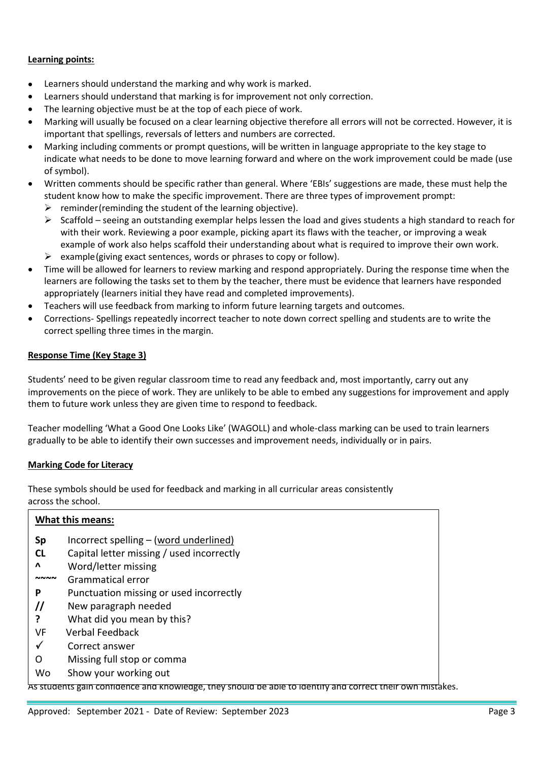## **Learning points:**

- Learners should understand the marking and why work is marked.
- Learners should understand that marking is for improvement not only correction.
- The learning objective must be at the top of each piece of work.
- Marking will usually be focused on a clear learning objective therefore all errors will not be corrected. However, it is important that spellings, reversals of letters and numbers are corrected.
- Marking including comments or prompt questions, will be written in language appropriate to the key stage to indicate what needs to be done to move learning forward and where on the work improvement could be made (use of symbol).
- Written comments should be specific rather than general. Where 'EBIs' suggestions are made, these must help the student know how to make the specific improvement. There are three types of improvement prompt:
	- $\triangleright$  reminder(reminding the student of the learning objective).
	- $\triangleright$  Scaffold seeing an outstanding exemplar helps lessen the load and gives students a high standard to reach for with their work. Reviewing a poor example, picking apart its flaws with the teacher, or improving a weak example of work also helps scaffold their understanding about what is required to improve their own work.
	- $\triangleright$  example (giving exact sentences, words or phrases to copy or follow).
- Time will be allowed for learners to review marking and respond appropriately. During the response time when the learners are following the tasks set to them by the teacher, there must be evidence that learners have responded appropriately (learners initial they have read and completed improvements).
- Teachers will use feedback from marking to inform future learning targets and outcomes.
- Corrections- Spellings repeatedly incorrect teacher to note down correct spelling and students are to write the correct spelling three times in the margin.

#### **Response Time (Key Stage 3)**

Students' need to be given regular classroom time to read any feedback and, most importantly, carry out any improvements on the piece of work. They are unlikely to be able to embed any suggestions for improvement and apply them to future work unless they are given time to respond to feedback.

Teacher modelling 'What a Good One Looks Like' (WAGOLL) and whole-class marking can be used to train learners gradually to be able to identify their own successes and improvement needs, individually or in pairs.

#### **Marking Code for Literacy**

These symbols should be used for feedback and marking in all curricular areas consistently across the school.

| <b>What this means:</b> |                                           |
|-------------------------|-------------------------------------------|
| <b>Sp</b>               | Incorrect spelling $-$ (word underlined)  |
| <b>CL</b>               | Capital letter missing / used incorrectly |
| Λ                       | Word/letter missing                       |
| ៷៷៷៷                    | Grammatical error                         |
| P                       | Punctuation missing or used incorrectly   |
| $^{\prime\prime}$       | New paragraph needed                      |
|                         | What did you mean by this?                |
| VF                      | <b>Verbal Feedback</b>                    |
| √                       | Correct answer                            |
| O                       | Missing full stop or comma                |
| Wo                      | Show your working out                     |

As students gain confidence and knowledge, they should be able to identify and correct their own mistakes.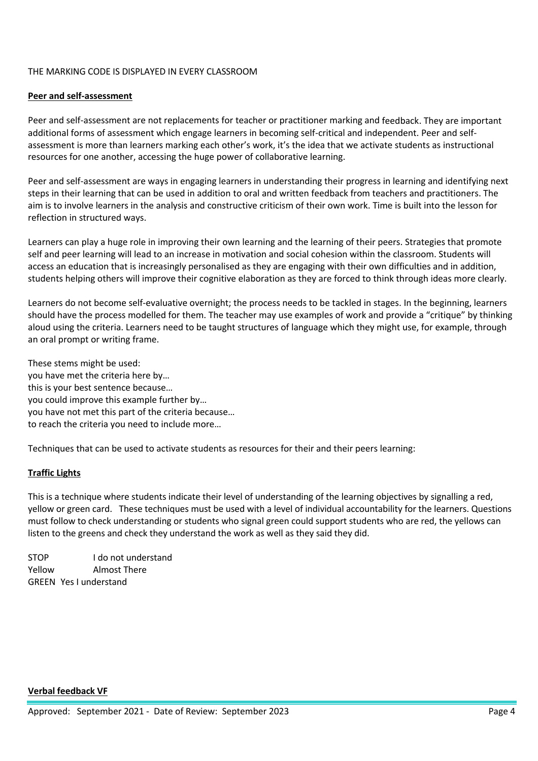## THE MARKING CODE IS DISPLAYED IN EVERY CLASSROOM

#### **Peer and self-assessment**

Peer and self-assessment are not replacements for teacher or practitioner marking and feedback. They are important additional forms of assessment which engage learners in becoming self-critical and independent. Peer and selfassessment is more than learners marking each other's work, it's the idea that we activate students as instructional resources for one another, accessing the huge power of collaborative learning.

Peer and self-assessment are ways in engaging learners in understanding their progress in learning and identifying next steps in their learning that can be used in addition to oral and written feedback from teachers and practitioners. The aim is to involve learners in the analysis and constructive criticism of their own work. Time is built into the lesson for reflection in structured ways.

Learners can play a huge role in improving their own learning and the learning of their peers. Strategies that promote self and peer learning will lead to an increase in motivation and social cohesion within the classroom. Students will access an education that is increasingly personalised as they are engaging with their own difficulties and in addition, students helping others will improve their cognitive elaboration as they are forced to think through ideas more clearly.

Learners do not become self-evaluative overnight; the process needs to be tackled in stages. In the beginning, learners should have the process modelled for them. The teacher may use examples of work and provide a "critique" by thinking aloud using the criteria. Learners need to be taught structures of language which they might use, for example, through an oral prompt or writing frame.

These stems might be used: you have met the criteria here by… this is your best sentence because… you could improve this example further by… you have not met this part of the criteria because… to reach the criteria you need to include more…

Techniques that can be used to activate students as resources for their and their peers learning:

# **Traffic Lights**

This is a technique where students indicate their level of understanding of the learning objectives by signalling a red, yellow or green card. These techniques must be used with a level of individual accountability for the learners. Questions must follow to check understanding or students who signal green could support students who are red, the yellows can listen to the greens and check they understand the work as well as they said they did.

STOP I do not understand Yellow Almost There GREEN Yes I understand

**Verbal feedback VF**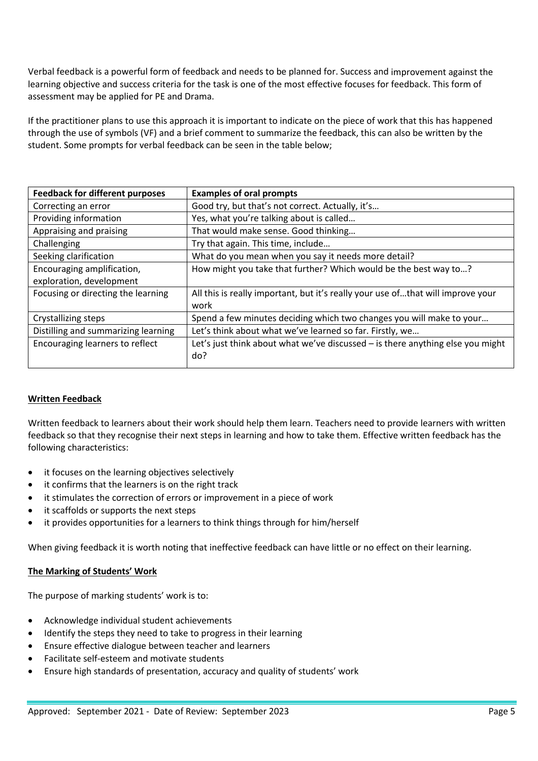Verbal feedback is a powerful form of feedback and needs to be planned for. Success and improvement against the learning objective and success criteria for the task is one of the most effective focuses for feedback. This form of assessment may be applied for PE and Drama.

If the practitioner plans to use this approach it is important to indicate on the piece of work that this has happened through the use of symbols (VF) and a brief comment to summarize the feedback, this can also be written by the student. Some prompts for verbal feedback can be seen in the table below;

| <b>Examples of oral prompts</b>                                                 |
|---------------------------------------------------------------------------------|
| Good try, but that's not correct. Actually, it's                                |
| Yes, what you're talking about is called                                        |
| That would make sense. Good thinking                                            |
| Try that again. This time, include                                              |
| What do you mean when you say it needs more detail?                             |
| How might you take that further? Which would be the best way to?                |
|                                                                                 |
| All this is really important, but it's really your use ofthat will improve your |
| work                                                                            |
| Spend a few minutes deciding which two changes you will make to your            |
| Let's think about what we've learned so far. Firstly, we                        |
| Let's just think about what we've discussed - is there anything else you might  |
| do?                                                                             |
|                                                                                 |

# **Written Feedback**

Written feedback to learners about their work should help them learn. Teachers need to provide learners with written feedback so that they recognise their next steps in learning and how to take them. Effective written feedback has the following characteristics:

- it focuses on the learning objectives selectively
- it confirms that the learners is on the right track
- it stimulates the correction of errors or improvement in a piece of work
- it scaffolds or supports the next steps
- it provides opportunities for a learners to think things through for him/herself

When giving feedback it is worth noting that ineffective feedback can have little or no effect on their learning.

#### **The Marking of Students' Work**

The purpose of marking students' work is to:

- Acknowledge individual student achievements
- Identify the steps they need to take to progress in their learning
- Ensure effective dialogue between teacher and learners
- Facilitate self-esteem and motivate students
- Ensure high standards of presentation, accuracy and quality of students' work